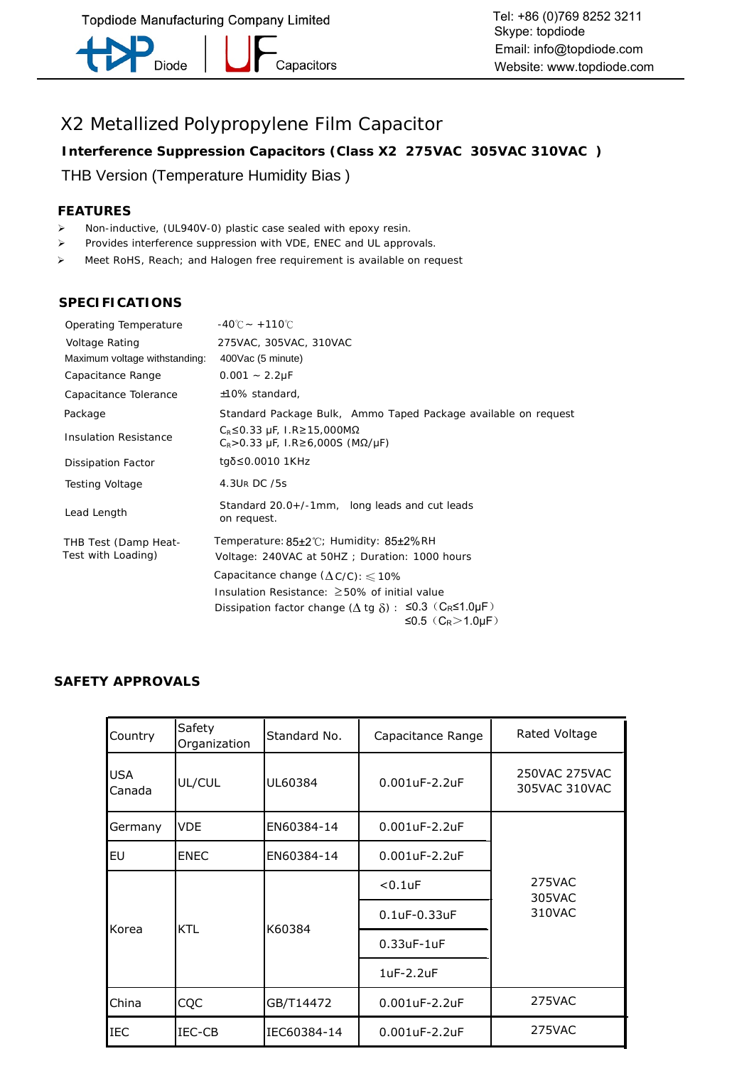-<br>Capacitors Diode

Tel: +86 (0)769 8252 3211 Skype: topdiode Email: info@topdiode.com Website: www.topdiode.com

# X2 Metallized Polypropylene Film Capacitor

**Interference Suppression Capacitors (Class X2 275VAC 305VAC 310VAC )**

#### THB Version (Temperature Humidity Bias )

#### **FEATURES**

- Ø Non-inductive, (UL940V-0) plastic case sealed with epoxy resin.
- Ø Provides interference suppression with VDE, ENEC and UL approvals.
- Ø Meet RoHS, Reach; and Halogen free requirement is available on request

#### **SPECIFICATIONS**

| Operating Temperature         | $-40^{\circ}$ C ~ +110 $^{\circ}$ C                                                   |
|-------------------------------|---------------------------------------------------------------------------------------|
| Voltage Rating                | 275VAC, 305VAC, 310VAC                                                                |
| Maximum voltage withstanding: | 400Vac (5 minute)                                                                     |
| Capacitance Range             | $0.001 - 2.2 \mu F$                                                                   |
| Capacitance Tolerance         | ±10% standard,                                                                        |
| Package                       | Standard Package Bulk, Ammo Taped Package available on request                        |
| <b>Insulation Resistance</b>  | $C_R$ ≤0.33 μF, I.R≥15,000MΩ<br>$C_R$ > 0.33 μF, 1.R≥6,000S (MΩ/μF)                   |
| Dissipation Factor            | tgδ≤0.0010 1KHz                                                                       |
| Testing Voltage               | 4.3UR DC /5s                                                                          |
| Lead Length                   | Standard 20.0+/-1mm, long leads and cut leads<br>on request.                          |
| THB Test (Damp Heat-          | Temperature: 85±2°C; Humidity: 85±2%RH                                                |
| Test with Loading)            | Voltage: 240VAC at 50HZ ; Duration: 1000 hours                                        |
|                               | Capacitance change $(\Delta C/C)$ : $\leq 10\%$                                       |
|                               | Insulation Resistance: $\geq$ 50% of initial value                                    |
|                               | Dissipation factor change ( $\Delta$ tg $\delta$ ) : $\leq 0.3$ (CR $\leq 1.0 \mu$ F) |
|                               | ≤0.5 $(C_R>1.0\,\text{µF})$                                                           |

#### **SAFETY APPROVALS**

| Country              | Safety<br>Organization | Standard No. | Capacitance Range      | Rated Voltage                  |
|----------------------|------------------------|--------------|------------------------|--------------------------------|
| <b>USA</b><br>Canada | UL/CUL                 | UL60384      | $0.001$ uF-2.2uF       | 250VAC 275VAC<br>305VAC 310VAC |
| Germany              | VDE                    | EN60384-14   | $0.001$ uF-2.2uF       |                                |
| lΕU                  | <b>ENEC</b>            | EN60384-14   | $0.001$ uF-2.2uF       |                                |
|                      |                        |              | $< 0.1$ uF             | 275VAC<br>305VAC               |
| Korea                |                        | K60384       | $0.1$ u $F-0.33$ u $F$ | 310VAC                         |
|                      | <b>KTL</b>             |              | $0.33$ u $F-1$ u $F$   |                                |
|                      |                        |              | 1uF-2.2uF              |                                |
| China                | CQC                    | GB/T14472    | $0.001$ uF-2.2uF       | 275VAC                         |
| <b>IEC</b>           | IEC-CB                 | IEC60384-14  | $0.001$ uF-2.2uF       | 275VAC                         |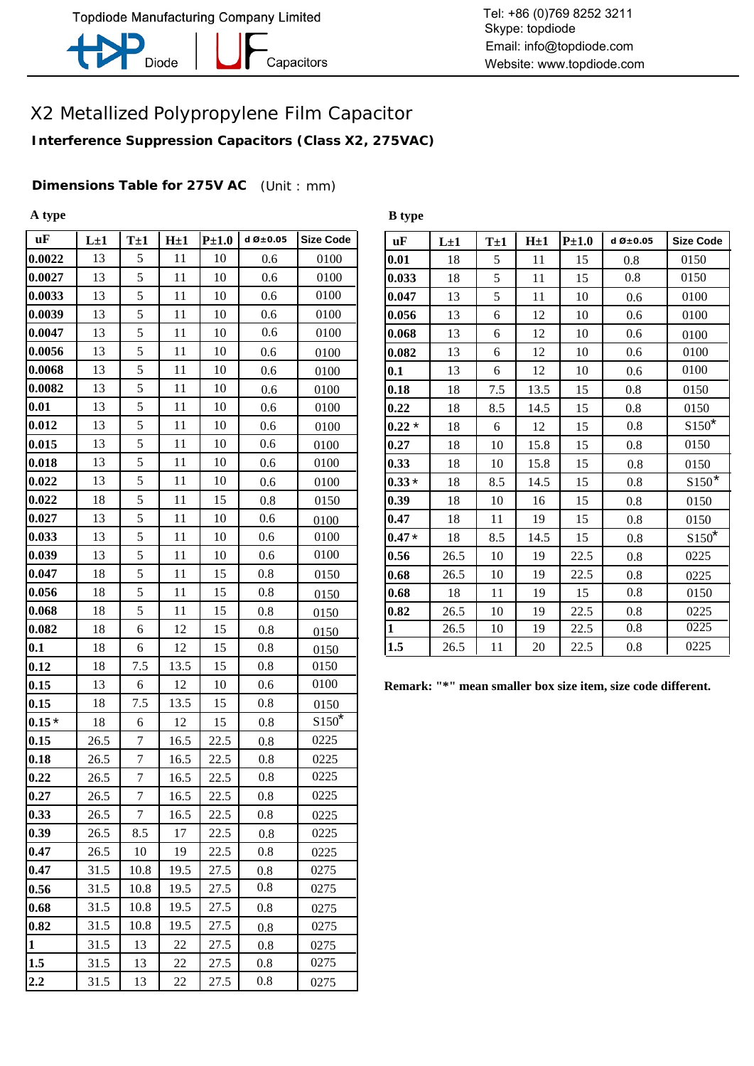

-<br>Capacitors

**B type**

Tel: +86 (0)769 8252 3211 Skype: topdiode Email: info@topdiode.com Website: www.topdiode.com

### X2 Metallized Polypropylene Film Capacitor

**Interference Suppression Capacitors (Class X2, 275VAC)**

**Dimensions Table for 275V AC** (Unit : mm)

**A type**

| $\mathbf{u}$ F | $L\pm 1$ | $T\pm 1$         | $H\pm 1$ | $P\pm1.0$ | d $\varnothing \pm 0.05$ | <b>Size Code</b> | uF           | $L\pm 1$                    | $T\pm 1$         | H <sub>±1</sub> |
|----------------|----------|------------------|----------|-----------|--------------------------|------------------|--------------|-----------------------------|------------------|-----------------|
| 0.0022         | 13       | 5                | 11       | 10        | 0.6                      | 0100             | 0.01         | 18                          | $\sqrt{5}$       | 11              |
| 0.0027         | 13       | 5                | 11       | 10        | 0.6                      | 0100             | 0.033        | 18                          | 5                | 11              |
| 0.0033         | 13       | $\mathfrak s$    | 11       | 10        | 0.6                      | 0100             | 0.047        | 13                          | 5                | 11              |
| 0.0039         | 13       | 5                | 11       | 10        | 0.6                      | 0100             | 0.056        | 13                          | 6                | 12              |
| 0.0047         | 13       | $\sqrt{5}$       | 11       | 10        | 0.6                      | 0100             | 0.068        | 13                          | 6                | 12              |
| 0.0056         | 13       | $\sqrt{5}$       | 11       | 10        | 0.6                      | 0100             | 0.082        | 13                          | 6                | 12              |
| 0.0068         | 13       | $\sqrt{5}$       | 11       | 10        | 0.6                      | 0100             | 0.1          | 13                          | 6                | 12              |
| 0.0082         | 13       | $\sqrt{5}$       | 11       | 10        | 0.6                      | 0100             | 0.18         | 18                          | 7.5              | 13.5            |
| 0.01           | 13       | 5                | 11       | 10        | 0.6                      | 0100             | 0.22         | 18                          | 8.5              | 14.5            |
| 0.012          | 13       | $\sqrt{5}$       | 11       | 10        | 0.6                      | 0100             | $0.22*$      | 18                          | $\boldsymbol{6}$ | 12              |
| 0.015          | 13       | 5                | 11       | 10        | 0.6                      | 0100             | 0.27         | 18                          | 10               | 15.8            |
| 0.018          | 13       | $\sqrt{5}$       | 11       | 10        | 0.6                      | 0100             | 0.33         | 18                          | 10               | 15.8            |
| 0.022          | 13       | $\sqrt{5}$       | 11       | 10        | 0.6                      | 0100             | $0.33*$      | 18                          | 8.5              | 14.5            |
| 0.022          | 18       | $\sqrt{5}$       | 11       | 15        | 0.8                      | 0150             | 0.39         | 18                          | 10               | 16              |
| 0.027          | 13       | 5                | 11       | 10        | 0.6                      | 0100             | 0.47         | 18                          | 11               | 19              |
| 0.033          | 13       | $\sqrt{5}$       | 11       | 10        | 0.6                      | 0100             | $0.47*$      | 18                          | 8.5              | 14.5            |
| 0.039          | 13       | $\sqrt{5}$       | 11       | 10        | 0.6                      | 0100             | 0.56         | 26.5                        | 10               | 19              |
| 0.047          | 18       | $\mathfrak s$    | 11       | 15        | 0.8                      | 0150             | 0.68         | 26.5                        | 10               | 19              |
| 0.056          | 18       | $\sqrt{5}$       | 11       | 15        | 0.8                      | 0150             | 0.68         | 18                          | 11               | 19              |
| 0.068          | 18       | 5                | 11       | 15        | 0.8                      | 0150             | 0.82         | 26.5                        | 10               | 19              |
| 0.082          | 18       | 6                | 12       | 15        | 0.8                      | 0150             | $\mathbf{1}$ | 26.5                        | 10               | 19              |
| 0.1            | 18       | 6                | 12       | 15        | 0.8                      | 0150             | 1.5          | 26.5                        | 11               | 20              |
| 0.12           | 18       | 7.5              | 13.5     | 15        | 0.8                      | 0150             |              |                             |                  |                 |
| 0.15           | 13       | 6                | 12       | 10        | 0.6                      | 0100             |              | Remark: "*" mean smaller bo |                  |                 |
| 0.15           | 18       | 7.5              | 13.5     | 15        | 0.8                      | 0150             |              |                             |                  |                 |
| $0.15*$        | 18       | 6                | 12       | 15        | 0.8                      | $S150^*$         |              |                             |                  |                 |
| 0.15           | 26.5     | $\tau$           | 16.5     | 22.5      | 0.8                      | 0225             |              |                             |                  |                 |
| 0.18           | 26.5     | $\tau$           | 16.5     | 22.5      | 0.8                      | 0225             |              |                             |                  |                 |
| 0.22           | 26.5     | $\boldsymbol{7}$ | 16.5     | 22.5      | 0.8                      | 0225             |              |                             |                  |                 |
| 0.27           | 26.5     | 7                | 16.5     | 22.5      | 0.8                      | 0225             |              |                             |                  |                 |
| 0.33           | 26.5     | 7                | 16.5     | 22.5      | 0.8                      | 0225             |              |                             |                  |                 |
| 0.39           | 26.5     | 8.5              | 17       | 22.5      | 0.8                      | 0225             |              |                             |                  |                 |
| 0.47           | 26.5     | 10               | 19       | 22.5      | 0.8                      | 0225             |              |                             |                  |                 |
| 0.47           | 31.5     | 10.8             | 19.5     | 27.5      | 0.8                      | 0275             |              |                             |                  |                 |
| 0.56           | 31.5     | 10.8             | 19.5     | 27.5      | 0.8                      | 0275             |              |                             |                  |                 |
| 0.68           | 31.5     | 10.8             | 19.5     | 27.5      | 0.8                      | 0275             |              |                             |                  |                 |
| 0.82           | 31.5     | 10.8             | 19.5     | 27.5      | 0.8                      | 0275             |              |                             |                  |                 |
| $\vert$ 1      | 31.5     | 13               | 22       | 27.5      | 0.8                      | 0275             |              |                             |                  |                 |
| 1.5            | 31.5     | 13               | 22       | 27.5      | 0.8                      | 0275             |              |                             |                  |                 |
| 2.2            | 31.5     | 13               | 22       | 27.5      | 0.8                      | 0275             |              |                             |                  |                 |

| $d\emptyset \pm 0.05$ | <b>Size Code</b> | uF           | $L\pm 1$ | $T\pm 1$ | $H \pm 1$ | $P\pm1.0$ | d $\varnothing \pm 0.05$ | <b>Size Code</b>    |
|-----------------------|------------------|--------------|----------|----------|-----------|-----------|--------------------------|---------------------|
| 0.6                   | 0100             | 0.01         | 18       | 5        | 11        | 15        | 0.8                      | 0150                |
| 0.6                   | 0100             | 0.033        | 18       | 5        | 11        | 15        | 0.8                      | 0150                |
| 0.6                   | 0100             | 0.047        | 13       | 5        | 11        | 10        | 0.6                      | 0100                |
| 0.6                   | 0100             | 0.056        | 13       | 6        | 12        | 10        | 0.6                      | 0100                |
| 0.6                   | 0100             | 0.068        | 13       | 6        | 12        | 10        | 0.6                      | 0100                |
| 0.6                   | 0100             | 0.082        | 13       | 6        | 12        | 10        | 0.6                      | 0100                |
| 0.6                   | 0100             | 0.1          | 13       | 6        | 12        | 10        | 0.6                      | 0100                |
| 0.6                   | 0100             | 0.18         | 18       | 7.5      | 13.5      | 15        | 0.8                      | 0150                |
| 0.6                   | 0100             | 0.22         | 18       | 8.5      | 14.5      | 15        | 0.8                      | 0150                |
| 0.6                   | 0100             | $0.22*$      | 18       | 6        | 12        | 15        | 0.8                      | $\text{S150}^\star$ |
| 0.6                   | 0100             | 0.27         | 18       | 10       | 15.8      | 15        | 0.8                      | 0150                |
| 0.6                   | 0100             | 0.33         | 18       | 10       | 15.8      | 15        | $0.8\,$                  | 0150                |
| 0.6                   | 0100             | $0.33*$      | 18       | 8.5      | 14.5      | 15        | 0.8                      | $S150^*$            |
| 0.8                   | 0150             | 0.39         | 18       | 10       | 16        | 15        | $0.8\,$                  | 0150                |
| 0.6                   | 0100             | 0.47         | 18       | 11       | 19        | 15        | 0.8                      | 0150                |
| 0.6                   | 0100             | $0.47*$      | 18       | 8.5      | 14.5      | 15        | 0.8                      | $$150^*$            |
| 0.6                   | 0100             | 0.56         | 26.5     | 10       | 19        | 22.5      | $0.8\,$                  | 0225                |
| 0.8                   | 0150             | 0.68         | 26.5     | 10       | 19        | 22.5      | 0.8                      | 0225                |
| 0.8                   | 0150             | 0.68         | 18       | 11       | 19        | 15        | 0.8                      | 0150                |
| 0.8                   | 0150             | 0.82         | 26.5     | 10       | 19        | 22.5      | 0.8                      | 0225                |
| 0.8                   | 0150             | $\mathbf{1}$ | 26.5     | 10       | 19        | 22.5      | 0.8                      | 0225                |
| 0.8                   | 0150             | 1.5          | 26.5     | 11       | 20        | 22.5      | 0.8                      | 0225                |

**Remark: "\*" mean smaller box size item, size code different.**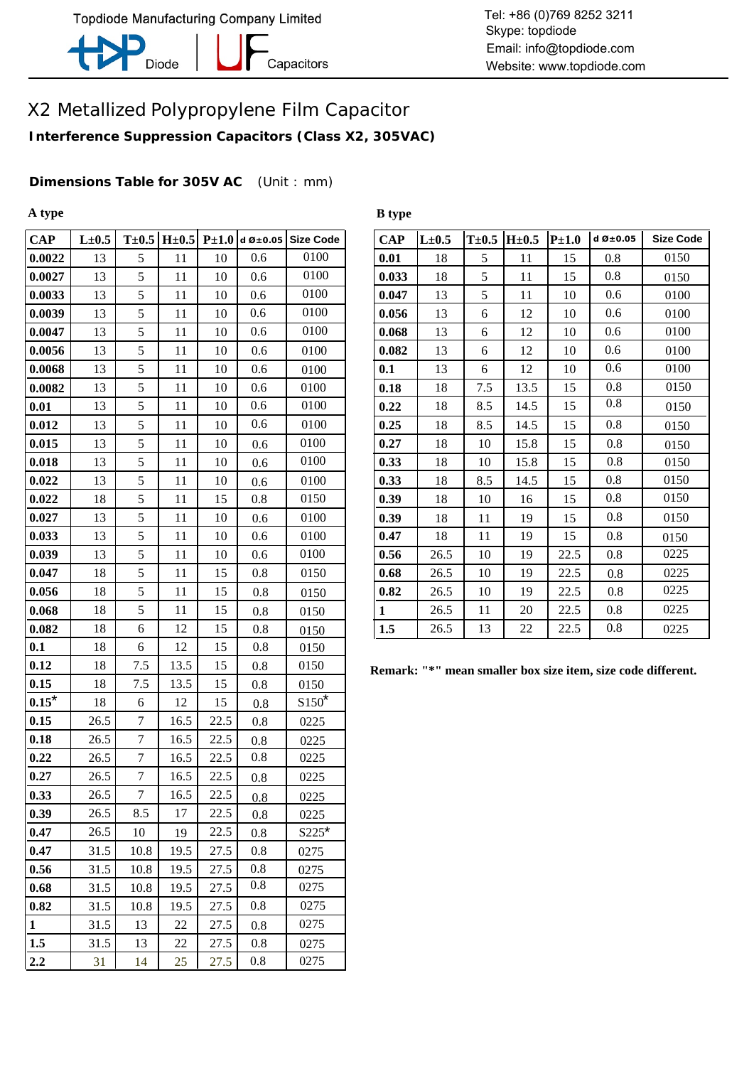

-<br>Capacitors

### X2 Metallized Polypropylene Film Capacitor

**Interference Suppression Capacitors (Class X2, 305VAC)**

**Dimensions Table for 305V AC** (Unit : mm)

**A type**

| $\bf CAP$    | $L\pm0.5$ | $T\pm0.5$        | $H\pm0.5$ | $P\pm1.0$ |         | d Ø $\pm$ 0.05 Size Code | <b>CAP</b>   | $L\pm0.5$                             | $T\pm0.5$ | $H\pm0.5$ | $P\pm 1.0$ |
|--------------|-----------|------------------|-----------|-----------|---------|--------------------------|--------------|---------------------------------------|-----------|-----------|------------|
| 0.0022       | 13        | 5                | 11        | 10        | 0.6     | 0100                     | 0.01         | 18                                    | 5         | 11        | 15         |
| 0.0027       | 13        | 5                | 11        | 10        | 0.6     | 0100                     | 0.033        | 18                                    | 5         | 11        | 15         |
| 0.0033       | 13        | 5                | 11        | 10        | $0.6\,$ | 0100                     | 0.047        | 13                                    | 5         | 11        | 10         |
| 0.0039       | 13        | 5                | 11        | 10        | 0.6     | 0100                     | 0.056        | 13                                    | 6         | 12        | 10         |
| 0.0047       | 13        | 5                | 11        | 10        | 0.6     | 0100                     | 0.068        | 13                                    | 6         | 12        | 10         |
| 0.0056       | 13        | 5                | 11        | 10        | 0.6     | 0100                     | 0.082        | 13                                    | 6         | 12        | 10         |
| 0.0068       | 13        | 5                | 11        | 10        | 0.6     | 0100                     | 0.1          | 13                                    | 6         | 12        | 10         |
| 0.0082       | 13        | 5                | 11        | 10        | 0.6     | 0100                     | 0.18         | 18                                    | 7.5       | 13.5      | 15         |
| 0.01         | 13        | 5                | 11        | 10        | 0.6     | 0100                     | 0.22         | 18                                    | 8.5       | 14.5      | 15         |
| 0.012        | 13        | $\mathfrak s$    | 11        | 10        | 0.6     | 0100                     | 0.25         | 18                                    | 8.5       | 14.5      | 15         |
| 0.015        | 13        | 5                | 11        | 10        | 0.6     | 0100                     | 0.27         | 18                                    | 10        | 15.8      | 15         |
| 0.018        | 13        | 5                | 11        | 10        | 0.6     | 0100                     | 0.33         | 18                                    | 10        | 15.8      | 15         |
| 0.022        | 13        | 5                | 11        | 10        | 0.6     | 0100                     | 0.33         | 18                                    | 8.5       | 14.5      | 15         |
| 0.022        | 18        | 5                | 11        | 15        | 0.8     | 0150                     | 0.39         | 18                                    | 10        | 16        | 15         |
| 0.027        | 13        | 5                | 11        | 10        | 0.6     | 0100                     | 0.39         | 18                                    | 11        | 19        | 15         |
| 0.033        | 13        | 5                | 11        | 10        | 0.6     | 0100                     | 0.47         | 18                                    | 11        | 19        | 15         |
| 0.039        | 13        | 5                | 11        | 10        | 0.6     | 0100                     | 0.56         | 26.5                                  | 10        | 19        | 22.5       |
| 0.047        | 18        | 5                | 11        | 15        | 0.8     | 0150                     | 0.68         | 26.5                                  | 10        | 19        | 22.5       |
| 0.056        | 18        | $\mathfrak s$    | 11        | 15        | 0.8     | 0150                     | 0.82         | 26.5                                  | 10        | 19        | 22.5       |
| 0.068        | 18        | 5                | 11        | 15        | 0.8     | 0150                     | $\mathbf{1}$ | 26.5                                  | 11        | 20        | 22.5       |
| 0.082        | 18        | 6                | 12        | 15        | 0.8     | 0150                     | 1.5          | 26.5                                  | 13        | 22        | 22.5       |
| 0.1          | 18        | 6                | 12        | 15        | 0.8     | 0150                     |              |                                       |           |           |            |
| 0.12         | 18        | 7.5              | 13.5      | 15        | 0.8     | 0150                     |              | Remark: "*" mean smaller box size ite |           |           |            |
| 0.15         | 18        | 7.5              | 13.5      | 15        | 0.8     | 0150                     |              |                                       |           |           |            |
| $0.15*$      | 18        | $\boldsymbol{6}$ | 12        | 15        | 0.8     | $S150^*$                 |              |                                       |           |           |            |
| 0.15         | 26.5      | $\tau$           | 16.5      | 22.5      | 0.8     | 0225                     |              |                                       |           |           |            |
| 0.18         | 26.5      | $\tau$           | 16.5      | 22.5      | 0.8     | 0225                     |              |                                       |           |           |            |
| 0.22         | 26.5      | $\tau$           | 16.5      | 22.5      | $0.8\,$ | 0225                     |              |                                       |           |           |            |
| 0.27         | 26.5      | $\tau$           | 16.5      | 22.5      | 0.8     | 0225                     |              |                                       |           |           |            |
| 0.33         | 26.5      | $\boldsymbol{7}$ | 16.5      | 22.5      | 0.8     | 0225                     |              |                                       |           |           |            |
| 0.39         | 26.5      | 8.5              | 17        | 22.5      | 0.8     | 0225                     |              |                                       |           |           |            |
| 0.47         | 26.5      | 10               | 19        | 22.5      | 0.8     | $$225$ *                 |              |                                       |           |           |            |
| 0.47         | 31.5      | 10.8             | 19.5      | 27.5      | 0.8     | 0275                     |              |                                       |           |           |            |
| 0.56         | 31.5      | 10.8             | 19.5      | 27.5      | 0.8     | 0275                     |              |                                       |           |           |            |
| 0.68         | 31.5      | 10.8             | 19.5      | 27.5      | 0.8     | 0275                     |              |                                       |           |           |            |
| 0.82         | 31.5      | 10.8             | 19.5      | 27.5      | 0.8     | 0275                     |              |                                       |           |           |            |
| $\mathbf{1}$ | 31.5      | 13               | 22        | 27.5      | 0.8     | 0275                     |              |                                       |           |           |            |
| 1.5          | 31.5      | 13               | 22        | 27.5      | 0.8     | 0275                     |              |                                       |           |           |            |
| 2.2          | 31        | 14               | 25        | 27.5      | $0.8\,$ | 0275                     |              |                                       |           |           |            |

**B type**

| $d$ Ø $\pm$ 0.05 | <b>Size Code</b> | <b>CAP</b>   | $L\pm0.5$ | $T\pm0.5$ | $H\pm0.5$ | $P\pm1.0$ | $d\emptyset \pm 0.05$ | <b>Size Code</b> |
|------------------|------------------|--------------|-----------|-----------|-----------|-----------|-----------------------|------------------|
| 0.6              | 0100             | 0.01         | 18        | 5         | 11        | 15        | 0.8                   | 0150             |
| 0.6              | 0100             | 0.033        | 18        | 5         | 11        | 15        | 0.8                   | 0150             |
| 0.6              | 0100             | 0.047        | 13        | 5         | 11        | 10        | 0.6                   | 0100             |
| 0.6              | 0100             | 0.056        | 13        | 6         | 12        | 10        | 0.6                   | 0100             |
| 0.6              | 0100             | 0.068        | 13        | 6         | 12        | 10        | 0.6                   | 0100             |
| 0.6              | 0100             | 0.082        | 13        | 6         | 12        | 10        | 0.6                   | 0100             |
| 0.6              | 0100             | 0.1          | 13        | 6         | 12        | 10        | 0.6                   | 0100             |
| 0.6              | 0100             | 0.18         | 18        | 7.5       | 13.5      | 15        | 0.8                   | 0150             |
| 0.6              | 0100             | 0.22         | 18        | 8.5       | 14.5      | 15        | 0.8                   | 0150             |
| 0.6              | 0100             | 0.25         | 18        | 8.5       | 14.5      | 15        | 0.8                   | 0150             |
| 0.6              | 0100             | 0.27         | 18        | 10        | 15.8      | 15        | 0.8                   | 0150             |
| 0.6              | 0100             | 0.33         | 18        | 10        | 15.8      | 15        | 0.8                   | 0150             |
| 0.6              | 0100             | 0.33         | 18        | 8.5       | 14.5      | 15        | 0.8                   | 0150             |
| 0.8              | 0150             | 0.39         | 18        | 10        | 16        | 15        | 0.8                   | 0150             |
| 0.6              | 0100             | 0.39         | 18        | 11        | 19        | 15        | 0.8                   | 0150             |
| 0.6              | 0100             | 0.47         | 18        | 11        | 19        | 15        | 0.8                   | 0150             |
| 0.6              | 0100             | 0.56         | 26.5      | 10        | 19        | 22.5      | 0.8                   | 0225             |
| 0.8              | 0150             | 0.68         | 26.5      | 10        | 19        | 22.5      | 0.8                   | 0225             |
| 0.8              | 0150             | 0.82         | 26.5      | 10        | 19        | 22.5      | 0.8                   | 0225             |
| 0.8              | 0150             | $\mathbf{1}$ | 26.5      | 11        | 20        | 22.5      | 0.8                   | 0225             |
| 0.8              | 0150             | 1.5          | 26.5      | 13        | 22        | 22.5      | 0.8                   | 0225             |

**Remark: "\*" mean smaller box size item, size code different.**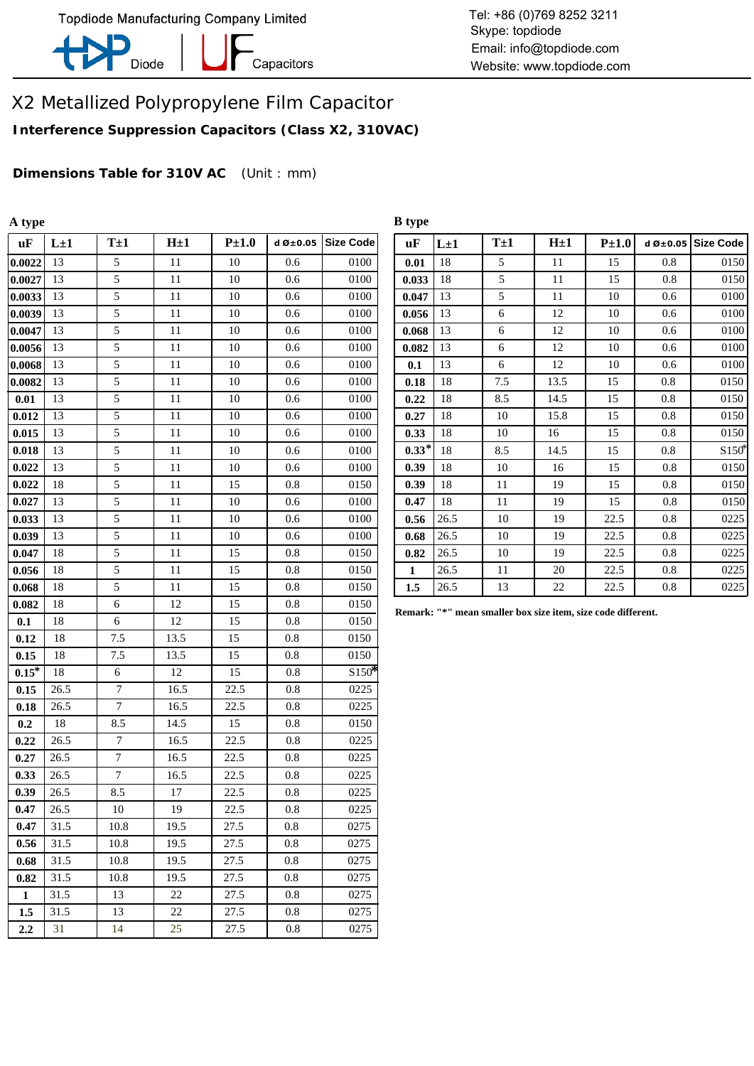

-<br>Capacitors

Tel: +86 (0)769 8252 3211 Skype: topdiode Email: info@topdiode.com Website: www.topdiode.com

# X2 Metallized Polypropylene Film Capacitor

**Interference Suppression Capacitors (Class X2, 310VAC)**

**Dimensions Table for 310V AC** (Unit : mm)

| A type  |          |                |         |           |                          |                  | <b>B</b> type |          |                                                              |           |           |         |                          |
|---------|----------|----------------|---------|-----------|--------------------------|------------------|---------------|----------|--------------------------------------------------------------|-----------|-----------|---------|--------------------------|
| uF      | $L\pm 1$ | $T \pm 1$      | $H\pm1$ | $P\pm1.0$ | d $\varnothing \pm 0.05$ | <b>Size Code</b> | <b>uF</b>     | $L\pm 1$ | $T\pm 1$                                                     | $H \pm 1$ | $P\pm1.0$ |         | d Ø $\pm$ 0.05 Size Code |
| 0.0022  | 13       | 5              | 11      | 10        | 0.6                      | 0100             | 0.01          | 18       | 5                                                            | 11        | 15        | 0.8     | 0150                     |
| 0.0027  | 13       | 5              | 11      | 10        | 0.6                      | 0100             | 0.033         | 18       | 5                                                            | 11        | 15        | 0.8     | 0150                     |
| 0.0033  | 13       | 5              | 11      | 10        | 0.6                      | 0100             | 0.047         | 13       | 5                                                            | 11        | $10\,$    | 0.6     | 0100                     |
| 0.0039  | 13       | 5              | 11      | 10        | 0.6                      | 0100             | 0.056         | 13       | 6                                                            | 12        | 10        | 0.6     | 0100                     |
| 0.0047  | 13       | 5              | $11\,$  | $10\,$    | 0.6                      | 0100             | 0.068         | 13       | $\sqrt{6}$                                                   | 12        | $10\,$    | 0.6     | 0100                     |
| 0.0056  | -13      | 5              | 11      | 10        | 0.6                      | 0100             | 0.082         | 13       | 6                                                            | 12        | 10        | 0.6     | 0100                     |
| 0.0068  | 13       | 5              | 11      | 10        | 0.6                      | 0100             | 0.1           | 13       | 6                                                            | 12        | 10        | 0.6     | 0100                     |
| 0.0082  | 13       | 5              | 11      | 10        | 0.6                      | 0100             | 0.18          | 18       | 7.5                                                          | 13.5      | 15        | 0.8     | 0150                     |
| 0.01    | 13       | 5              | 11      | $10\,$    | 0.6                      | 0100             | 0.22          | 18       | 8.5                                                          | 14.5      | 15        | 0.8     | 0150                     |
| 0.012   | 13       | $\overline{5}$ | 11      | 10        | 0.6                      | 0100             | 0.27          | 18       | 10                                                           | 15.8      | 15        | 0.8     | 0150                     |
| 0.015   | 13       | 5              | 11      | 10        | 0.6                      | 0100             | 0.33          | 18       | 10                                                           | 16        | 15        | $0.8\,$ | 0150                     |
| 0.018   | 13       | 5              | 11      | 10        | 0.6                      | 0100             | $0.33*$       | 18       | 8.5                                                          | 14.5      | 15        | 0.8     | S <sub>150</sub>         |
| 0.022   | 13       | 5              | $11\,$  | $10\,$    | 0.6                      | 0100             | 0.39          | 18       | 10                                                           | 16        | 15        | 0.8     | 0150                     |
| 0.022   | 18       | 5              | 11      | 15        | 0.8                      | 0150             | 0.39          | 18       | 11                                                           | 19        | 15        | 0.8     | 0150                     |
| 0.027   | 13       | 5              | 11      | 10        | 0.6                      | 0100             | 0.47          | 18       | $11\,$                                                       | 19        | 15        | $0.8\,$ | 0150                     |
| 0.033   | 13       | 5              | 11      | 10        | 0.6                      | 0100             | 0.56          | 26.5     | 10                                                           | 19        | 22.5      | 0.8     | 0225                     |
| 0.039   | 13       | 5              | 11      | $10\,$    | 0.6                      | 0100             | 0.68          | 26.5     | 10                                                           | 19        | 22.5      | 0.8     | 0225                     |
| 0.047   | 18       | 5              | 11      | 15        | 0.8                      | 0150             | 0.82          | 26.5     | 10                                                           | 19        | 22.5      | 0.8     | 0225                     |
| 0.056   | 18       | 5              | 11      | 15        | $0.8\,$                  | 0150             | 1             | 26.5     | 11                                                           | $20\,$    | 22.5      | $0.8\,$ | 0225                     |
| 0.068   | 18       | 5              | 11      | 15        | 0.8                      | 0150             | 1.5           | 26.5     | 13                                                           | 22        | 22.5      | 0.8     | 0225                     |
| 0.082   | 18       | 6              | 12      | 15        | $0.8\,$                  | 0150             |               |          | Remark: "*" mean smaller box size item, size code different. |           |           |         |                          |
| 0.1     | 18       | 6              | 12      | 15        | 0.8                      | 0150             |               |          |                                                              |           |           |         |                          |
| 0.12    | 18       | 7.5            | 13.5    | 15        | 0.8                      | 0150             |               |          |                                                              |           |           |         |                          |
| 0.15    | 18       | $7.5\,$        | 13.5    | 15        | $0.8\,$                  | 0150             |               |          |                                                              |           |           |         |                          |
| $0.15*$ | 18       | 6              | $12\,$  | 15        | 0.8                      | $$150*$          |               |          |                                                              |           |           |         |                          |
| 0.15    | 26.5     | $\tau$         | 16.5    | 22.5      | 0.8                      | 0225             |               |          |                                                              |           |           |         |                          |
| 0.18    | 26.5     | $\overline{7}$ | 16.5    | 22.5      | $0.8\,$                  | 0225             |               |          |                                                              |           |           |         |                          |
| 0.2     | 18       | 8.5            | 14.5    | 15        | 0.8                      | 0150             |               |          |                                                              |           |           |         |                          |
| 0.22    | 26.5     | $\overline{7}$ | 16.5    | 22.5      | $0.8\,$                  | 0225             |               |          |                                                              |           |           |         |                          |
| 0.27    | 26.5     | $\tau$         | 16.5    | 22.5      | 0.8                      | 0225             |               |          |                                                              |           |           |         |                          |
| 0.33    | 26.5     | $\overline{7}$ | 16.5    | 22.5      | 0.8                      | 0225             |               |          |                                                              |           |           |         |                          |
| 0.39    | 26.5     | 8.5            | 17      | 22.5      | 0.8                      | 0225             |               |          |                                                              |           |           |         |                          |
| 0.47    | 26.5     | 10             | 19      | 22.5      | $0.8\,$                  | 0225             |               |          |                                                              |           |           |         |                          |
| 0.47    | 31.5     | 10.8           | 19.5    | 27.5      | 0.8                      | 0275             |               |          |                                                              |           |           |         |                          |
| 0.56    | 31.5     | 10.8           | 19.5    | 27.5      | 0.8                      | 0275             |               |          |                                                              |           |           |         |                          |
| 0.68    | 31.5     | 10.8           | 19.5    | 27.5      | 0.8                      | 0275             |               |          |                                                              |           |           |         |                          |
| 0.82    | 31.5     | 10.8           | 19.5    | 27.5      | 0.8                      | 0275             |               |          |                                                              |           |           |         |                          |
| 1       | 31.5     | 13             | 22      | 27.5      | 0.8                      | 0275             |               |          |                                                              |           |           |         |                          |
| 1.5     | 31.5     | 13             | $22\,$  | 27.5      | 0.8                      | 0275             |               |          |                                                              |           |           |         |                          |
| 2.2     | 31       | 14             | 25      | 27.5      | 0.8                      | 0275             |               |          |                                                              |           |           |         |                          |

| uF           | $L\pm 1$ | $T\pm 1$ | H <sub>±1</sub> | $P\pm1.0$ | d $\varnothing \pm 0.05$ | <b>Size Code</b> |
|--------------|----------|----------|-----------------|-----------|--------------------------|------------------|
| 0.01         | 18       | 5        | 11              | 15        | 0.8                      | 0150             |
| 0.033        | 18       | 5        | 11              | 15        | 0.8                      | 0150             |
| 0.047        | 13       | 5        | 11              | 10        | 0.6                      | 0100             |
| 0.056        | 13       | 6        | 12              | 10        | 0.6                      | 0100             |
| 0.068        | 13       | 6        | 12              | 10        | 0.6                      | 0100             |
| 0.082        | 13       | 6        | 12              | 10        | 0.6                      | 0100             |
| 0.1          | 13       | 6        | 12              | 10        | 0.6                      | 0100             |
| 0.18         | 18       | 7.5      | 13.5            | 15        | 0.8                      | 0150             |
| 0.22         | 18       | 8.5      | 14.5            | 15        | 0.8                      | 0150             |
| 0.27         | 18       | 10       | 15.8            | 15        | 0.8                      | 0150             |
| 0.33         | 18       | 10       | 16              | 15        | 0.8                      | 0150             |
| $0.33*$      | 18       | 8.5      | 14.5            | 15        | 0.8                      | $S150*$          |
| 0.39         | 18       | 10       | 16              | 15        | 0.8                      | 0150             |
| 0.39         | 18       | 11       | 19              | 15        | 0.8                      | 0150             |
| 0.47         | 18       | 11       | 19              | 15        | 0.8                      | 0150             |
| 0.56         | 26.5     | 10       | 19              | 22.5      | 0.8                      | 0225             |
| 0.68         | 26.5     | 10       | 19              | 22.5      | 0.8                      | 0225             |
| 0.82         | 26.5     | 10       | 19              | 22.5      | 0.8                      | 0225             |
| $\mathbf{1}$ | 26.5     | 11       | 20              | 22.5      | 0.8                      | 0225             |
| 1.5          | 26.5     | 13       | 22              | 22.5      | 0.8                      | 0225             |